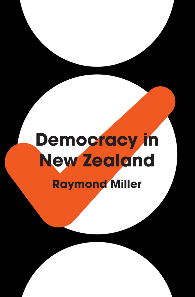# **Democracy in New Zealand Raymond Miller**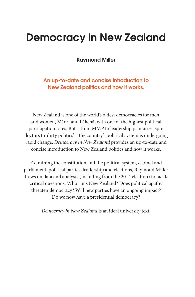### Democracy in New Zealand

Raymond Miller

An up-to-date and concise introduction to New Zealand politics and how it works.

New Zealand is one of the world's oldest democracies for men and women, Māori and Pākehā, with one of the highest political participation rates. But – from MMP to leadership primaries, spin doctors to 'dirty politics' – the country's political system is undergoing rapid change. *Democracy in New Zealand* provides an up-to-date and concise introduction to New Zealand politics and how it works.

Examining the constitution and the political system, cabinet and parliament, political parties, leadership and elections, Raymond Miller draws on data and analysis (including from the 2014 election) to tackle critical questions: Who runs New Zealand? Does political apathy threaten democracy? Will new parties have an ongoing impact? Do we now have a presidential democracy?

*Democracy in New Zealand* is an ideal university text.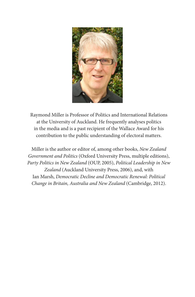

Raymond Miller is Professor of Politics and International Relations at the University of Auckland. He frequently analyses politics in the media and is a past recipient of the Wallace Award for his contribution to the public understanding of electoral matters.

Miller is the author or editor of, among other books, *New Zealand Government and Politics* (Oxford University Press, multiple editions), *Party Politics in New Zealand* (OUP, 2005), *Political Leadership in New Zealand* (Auckland University Press, 2006), and, with Ian Marsh, *Democratic Decline and Democratic Renewal: Political Change in Britain, Australia and New Zealand* (Cambridge, 2012).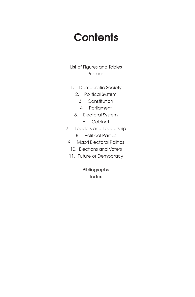## **Contents**

List of Figures and Tables Preface

- 1. Democratic Society
	- 2. Political System
		- 3. Constitution
		- 4. Parliament
	- 5. Electoral System
		- 6. Cabinet
- 7. Leaders and Leadership
	- 8. Political Parties
- 9. Māori Electoral Politics
	- 10. Elections and Voters
- 11. Future of Democracy

Bibliography Index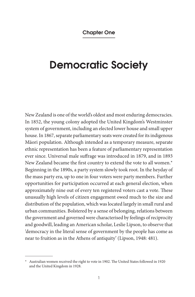#### Chapter One

### Democratic Society

New Zealand is one of the world's oldest and most enduring democracies. In 1852, the young colony adopted the United Kingdom's Westminster system of government, including an elected lower house and small upper house. In 1867, separate parliamentary seats were created for its indigenous Māori population. Although intended as a temporary measure, separate ethnic representation has been a feature of parliamentary representation ever since. Universal male suffrage was introduced in 1879, and in 1893 New Zealand became the first country to extend the vote to all women.\* Beginning in the 1890s, a party system slowly took root. In the heyday of the mass party era, up to one in four voters were party members. Further opportunities for participation occurred at each general election, when approximately nine out of every ten registered voters cast a vote. These unusually high levels of citizen engagement owed much to the size and distribution of the population, which was located largely in small rural and urban communities. Bolstered by a sense of belonging, relations between the government and governed were characterised by feelings of reciprocity and goodwill, leading an American scholar, Leslie Lipson, to observe that 'democracy in the literal sense of government by the people has come as near to fruition as in the Athens of antiquity' (Lipson, 1948: 481).

<sup>\*</sup> Australian women received the right to vote in 1902. The United States followed in 1920 and the United Kingdom in 1928.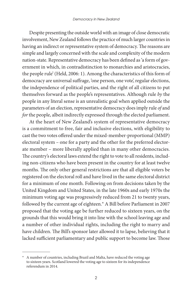Despite presenting the outside world with an image of close democratic involvement, New Zealand follows the practice of much larger countries in having an indirect or representative system of democracy. The reasons are simple and largely concerned with the scale and complexity of the modern nation-state. Representative democracy has been defined as 'a form of government in which, in contradistinction to monarchies and aristocracies, the people rule' (Held, 2006: 1). Among the characteristics of this form of democracy are universal suffrage, 'one person, one vote', regular elections, the independence of political parties, and the right of all citizens to put themselves forward as the people's representatives. Although rule *by* the people in any literal sense is an unrealistic goal when applied outside the parameters of an election, representative democracy does imply rule *of* and *for* the people, albeit indirectly expressed through the elected parliament.

At the heart of New Zealand's system of representative democracy is a commitment to free, fair and inclusive elections, with eligibility to cast the two votes offered under the mixed-member-proportional (MMP) electoral system – one for a party and the other for the preferred electorate member – more liberally applied than in many other democracies. The country's electoral laws extend the right to vote to all residents, including non-citizens who have been present in the country for at least twelve months. The only other general restrictions are that all eligible voters be registered on the electoral roll and have lived in the same electoral district for a minimum of one month. Following on from decisions taken by the United Kingdom and United States, in the late 1960s and early 1970s the minimum voting age was progressively reduced from 21 to twenty years, followed by the current age of eighteen.\* A Bill before Parliament in 2007 proposed that the voting age be further reduced to sixteen years, on the grounds that this would bring it into line with the school leaving age and a number of other individual rights, including the right to marry and have children. The Bill's sponsor later allowed it to lapse, believing that it lacked sufficient parliamentary and public support to become law. Those

<sup>\*</sup> A number of countries, including Brazil and Malta, have reduced the voting age to sixteen years. Scotland lowered the voting age to sixteen for its independence referendum in 2014.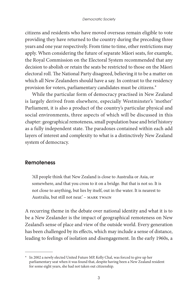citizens and residents who have moved overseas remain eligible to vote providing they have returned to the country during the preceding three years and one year respectively. From time to time, other restrictions may apply. When considering the future of separate Māori seats, for example, the Royal Commission on the Electoral System recommended that any decision to abolish or retain the seats be restricted to those on the Māori electoral roll. The National Party disagreed, believing it to be a matter on which all New Zealanders should have a say. In contrast to the residency provision for voters, parliamentary candidates must be citizens.\*

While the particular form of democracy practised in New Zealand is largely derived from elsewhere, especially Westminster's 'mother' Parliament, it is also a product of the country's particular physical and social environments, three aspects of which will be discussed in this chapter: geographical remoteness, small population base and brief history as a fully independent state. The paradoxes contained within each add layers of interest and complexity to what is a distinctively New Zealand system of democracy.

#### Remoteness

'All people think that New Zealand is close to Australia or Asia, or somewhere, and that you cross to it on a bridge. But that is not so. It is not close to anything, but lies by itself, out in the water. It is nearest to Australia, but still not near.' – Mark Twain

A recurring theme in the debate over national identity and what it is to be a New Zealander is the impact of geographical remoteness on New Zealand's sense of place and view of the outside world. Every generation has been challenged by its effects, which may include a sense of distance, leading to feelings of isolation and disengagement. In the early 1960s, a

<sup>\*</sup> In 2002 a newly elected United Future MP, Kelly Chal, was forced to give up her parliamentary seat when it was found that, despite having been a New Zealand resident for some eight years, she had not taken out citizenship.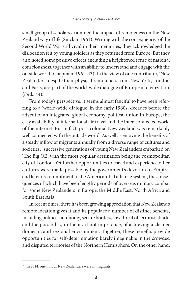small group of scholars examined the impact of remoteness on the New Zealand way of life (Sinclair, 1961). Writing with the consequences of the Second World War still vivid in their memories, they acknowledged the dislocation felt by young soldiers as they returned from Europe. But they also noted some positive effects, including a heightened sense of national consciousness, together with an ability to understand and engage with the outside world (Chapman, 1961: 43). In the view of one contributor, 'New Zealanders, despite their physical remoteness from New York, London and Paris, are part of the world-wide dialogue of European civilization' (ibid.: 44).

From today's perspective, it seems almost fanciful to have been referring to a 'world-wide dialogue' in the early 1960s, decades before the advent of an integrated global economy, political union in Europe, the easy availability of international air travel and the inter-connected world of the internet. But in fact, post-colonial New Zealand was remarkably well connected with the outside world. As well as enjoying the benefits of a steady inflow of migrants annually from a diverse range of cultures and societies,\* successive generations of young New Zealanders embarked on 'The Big OE', with the most popular destination being the cosmopolitan city of London. Yet further opportunities to travel and experience other cultures were made possible by the government's devotion to Empire, and later its commitment to the American-led alliance system, the consequences of which have been lengthy periods of overseas military combat for some New Zealanders in Europe, the Middle East, North Africa and South East Asia.

In recent times, there has been growing appreciation that New Zealand's remote location gives it and its populace a number of distinct benefits, including political autonomy, secure borders, low threat of terrorist attack, and the possibility, in theory if not in practice, of achieving a cleaner domestic and regional environment. Together, these benefits provide opportunities for self-determination barely imaginable in the crowded and disputed territories of the Northern Hemisphere. On the other hand,

<sup>\*</sup> In 2014, one in four New Zealanders were immigrants.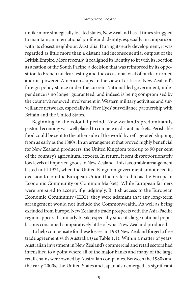unlike more strategically located states, New Zealand has at times struggled to maintain an international profile and identity, especially in comparison with its closest neighbour, Australia. During its early development, it was regarded as little more than a distant and inconsequential outpost of the British Empire. More recently, it realigned its identity to fit with its location as a nation of the South Pacific, a decision that was reinforced by its opposition to French nuclear testing and the occasional visit of nuclear-armed and/or -powered American ships. In the view of critics of New Zealand's foreign policy stance under the current National-led government, independence is no longer guaranteed, and indeed is being compromised by the country's renewed involvement in Western military activities and surveillance networks, especially its 'Five Eyes' surveillance partnership with Britain and the United States.

Beginning in the colonial period, New Zealand's predominantly pastoral economy was well placed to compete in distant markets. Perishable food could be sent to the other side of the world by refrigerated shipping from as early as the 1880s. In an arrangement that proved highly beneficial for New Zealand producers, the United Kingdom took up to 90 per cent of the country's agricultural exports. In return, it sent disproportionately low levels of imported goods to New Zealand. This favourable arrangement lasted until 1971, when the United Kingdom government announced its decision to join the European Union (then referred to as the European Economic Community or Common Market). While European farmers were prepared to accept, if grudgingly, British access to the European Economic Community (EEC), they were adamant that any long-term arrangement would not include the Commonwealth. As well as being excluded from Europe, New Zealand's trade prospects with the Asia-Pacific region appeared similarly bleak, especially since its large national populations consumed comparatively little of what New Zealand produced.

To help compensate for these losses, in 1983 New Zealand forged a free trade agreement with Australia (see Table 1.1). Within a matter of years, Australian investment in New Zealand's commercial and retail sectors had intensified to a point where all of the major banks and many of the large retail chains were owned by Australian companies. Between the 1980s and the early 2000s, the United States and Japan also emerged as significant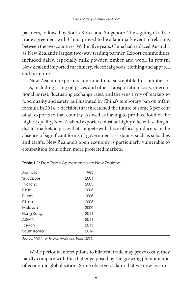partners, followed by South Korea and Singapore. The signing of a free trade agreement with China proved to be a landmark event in relations between the two countries. Within five years, China had replaced Australia as New Zealand's largest two-way trading partner. Export commodities included dairy, especially milk powder, timber and wool. In return, New Zealand imported machinery, electrical goods, clothing and apparel, and furniture.

New Zealand exporters continue to be susceptible to a number of risks, including rising oil prices and other transportation costs, international unrest, fluctuating exchange rates, and the sensitivity of markets to food quality and safety, as illustrated by China's temporary ban on infant formula in 2014, a decision that threatened the future of some 3 per cent of all exports to that country. As well as having to produce food of the highest quality, New Zealand exporters must be highly efficient, selling in distant markets at prices that compete with those of local producers. In the absence of significant forms of government assistance, such as subsidies and tariffs, New Zealand's open economy is particularly vulnerable to competition from other, more protected markets.

| Australia       | 1983 |  |
|-----------------|------|--|
| Singapore       | 2001 |  |
| <b>Thailand</b> | 2005 |  |
| Chile           | 2005 |  |
| <b>Brunei</b>   | 2005 |  |
| China           | 2008 |  |
| Malaysia        | 2009 |  |
| Hong Kong       | 2011 |  |
| <b>ASEAN</b>    | 2011 |  |
| Taiwan          | 2013 |  |
| South Korea     | 2014 |  |
|                 |      |  |

*Source: Ministry of Foreign Affairs and Trade, 2015.*

While periodic interruptions to bilateral trade may prove costly, they hardly compare with the challenge posed by the growing phenomenon of economic globalisation. Some observers claim that we now live in a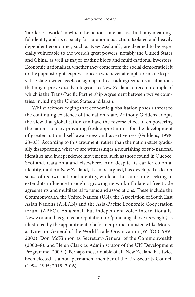'borderless world' in which the nation-state has lost both any meaningful identity and its capacity for autonomous action. Isolated and heavily dependent economies, such as New Zealand's, are deemed to be especially vulnerable to the world's great powers, notably the United States and China, as well as major trading blocs and multi-national investors. Economic nationalists, whether they come from the social democratic left or the populist right, express concern whenever attempts are made to privatise state-owned assets or sign up to free trade agreements in situations that might prove disadvantageous to New Zealand, a recent example of which is the Trans-Pacific Partnership Agreement between twelve countries, including the United States and Japan.

Whilst acknowledging that economic globalisation poses a threat to the continuing existence of the nation-state, Anthony Giddens adopts the view that globalisation can have the reverse effect of empowering the nation-state by providing fresh opportunities for the development of greater national self-awareness and assertiveness (Giddens, 1998: 28–33). According to this argument, rather than the nation-state gradually disappearing, what we are witnessing is a flourishing of sub-national identities and independence movements, such as those found in Quebec, Scotland, Catalonia and elsewhere. And despite its earlier colonial identity, modern New Zealand, it can be argued, has developed a clearer sense of its own national identity, while at the same time seeking to extend its influence through a growing network of bilateral free trade agreements and multilateral forums and associations. These include the Commonwealth, the United Nations (UN), the Association of South East Asian Nations (ASEAN) and the Asia-Pacific Economic Cooperation forum (APEC). As a small but independent voice internationally, New Zealand has gained a reputation for 'punching above its weight', as illustrated by the appointment of a former prime minister, Mike Moore, as Director-General of the World Trade Organization (WTO) (1999– 2002), Don McKinnon as Secretary-General of the Commonwealth (2000–8), and Helen Clark as Administrator of the UN Development Programme (2009–). Perhaps most notable of all, New Zealand has twice been elected as a non-permanent member of the UN Security Council (1994–1995; 2015–2016).